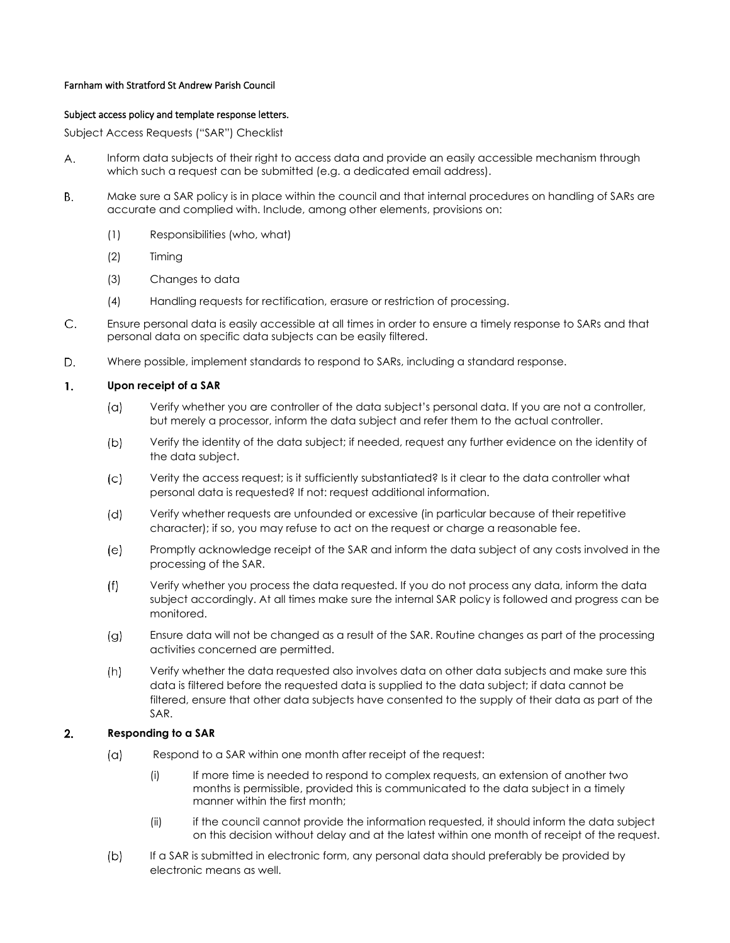### Farnham with Stratford St Andrew Parish Council

### Subject access policy and template response letters.

Subject Access Requests ("SAR") Checklist

- Inform data subjects of their right to access data and provide an easily accessible mechanism through А. which such a request can be submitted (e.g. a dedicated email address).
- Make sure a SAR policy is in place within the council and that internal procedures on handling of SARs are Β. accurate and complied with. Include, among other elements, provisions on:
	- (1) Responsibilities (who, what)
	- (2) Timing
	- (3) Changes to data
	- (4) Handling requests for rectification, erasure or restriction of processing.
- $C_{\cdot}$ Ensure personal data is easily accessible at all times in order to ensure a timely response to SARs and that personal data on specific data subjects can be easily filtered.
- D. Where possible, implement standards to respond to SARs, including a standard response.

#### 1. **Upon receipt of a SAR**

- $(\alpha)$ Verify whether you are controller of the data subject's personal data. If you are not a controller, but merely a processor, inform the data subject and refer them to the actual controller.
- Verify the identity of the data subject; if needed, request any further evidence on the identity of  $(b)$ the data subject.
- Verity the access request; is it sufficiently substantiated? Is it clear to the data controller what  $(c)$ personal data is requested? If not: request additional information.
- $(d)$ Verify whether requests are unfounded or excessive (in particular because of their repetitive character); if so, you may refuse to act on the request or charge a reasonable fee.
- $(e)$ Promptly acknowledge receipt of the SAR and inform the data subject of any costs involved in the processing of the SAR.
- $(f)$ Verify whether you process the data requested. If you do not process any data, inform the data subject accordingly. At all times make sure the internal SAR policy is followed and progress can be monitored.
- $(g)$ Ensure data will not be changed as a result of the SAR. Routine changes as part of the processing activities concerned are permitted.
- $(h)$ Verify whether the data requested also involves data on other data subjects and make sure this data is filtered before the requested data is supplied to the data subject; if data cannot be filtered, ensure that other data subjects have consented to the supply of their data as part of the SAR.

#### $2.$ **Responding to a SAR**

- $(a)$ Respond to a SAR within one month after receipt of the request:
	- (i) If more time is needed to respond to complex requests, an extension of another two months is permissible, provided this is communicated to the data subject in a timely manner within the first month;
	- (ii) if the council cannot provide the information requested, it should inform the data subject on this decision without delay and at the latest within one month of receipt of the request.
- $(b)$ If a SAR is submitted in electronic form, any personal data should preferably be provided by electronic means as well.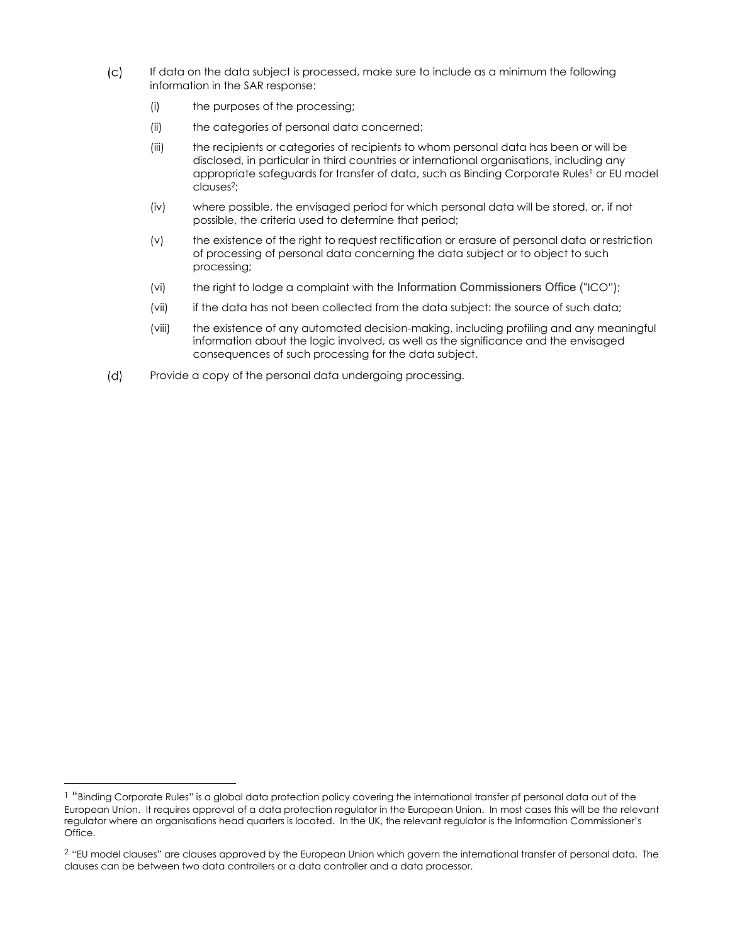- $(c)$ If data on the data subject is processed, make sure to include as a minimum the following information in the SAR response:
	- (i) the purposes of the processing;
	- (ii) the categories of personal data concerned;
	- (iii) the recipients or categories of recipients to whom personal data has been or will be disclosed, in particular in third countries or international organisations, including any appropriate safeguards for transfer of data, such as Binding Corporate Rules<sup>1</sup> or EU model clauses<sup>2</sup> ;
	- (iv) where possible, the envisaged period for which personal data will be stored, or, if not possible, the criteria used to determine that period;
	- (v) the existence of the right to request rectification or erasure of personal data or restriction of processing of personal data concerning the data subject or to object to such processing;
	- (vi) the right to lodge a complaint with the Information Commissioners Office ("ICO");
	- (vii) if the data has not been collected from the data subject: the source of such data;
	- (viii) the existence of any automated decision-making, including profiling and any meaningful information about the logic involved, as well as the significance and the envisaged consequences of such processing for the data subject.
- $(d)$ Provide a copy of the personal data undergoing processing.

<sup>&</sup>lt;sup>1</sup> "Binding Corporate Rules" is a global data protection policy covering the international transfer pf personal data out of the European Union. It requires approval of a data protection regulator in the European Union. In most cases this will be the relevant regulator where an organisations head quarters is located. In the UK, the relevant regulator is the Information Commissioner's Office.

<sup>&</sup>lt;sup>2</sup> "EU model clauses" are clauses approved by the European Union which govern the international transfer of personal data. The clauses can be between two data controllers or a data controller and a data processor.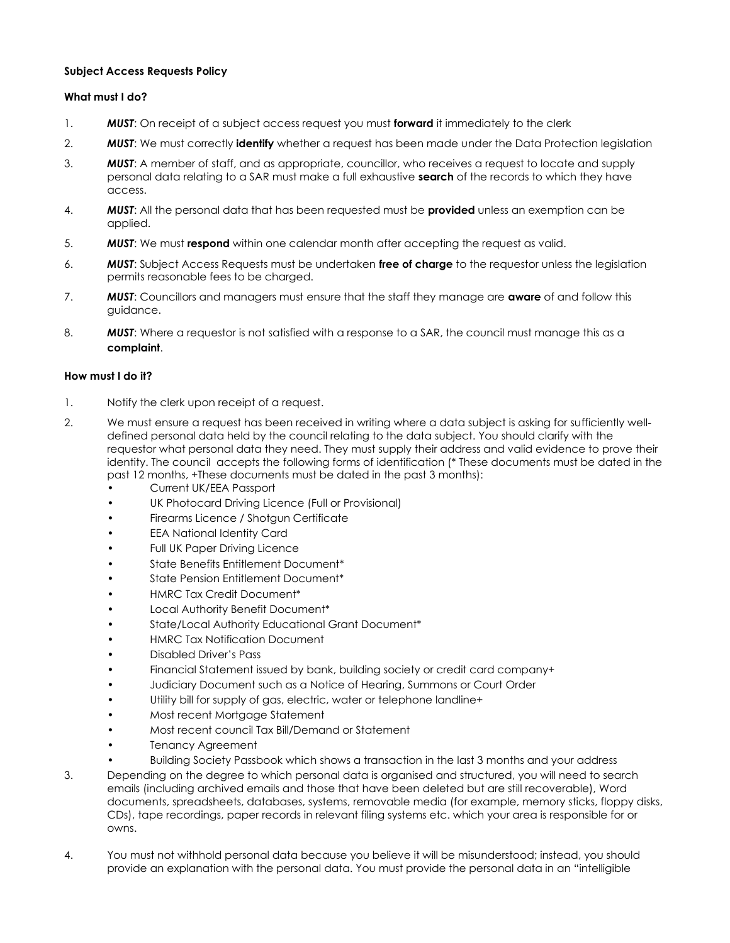## **Subject Access Requests Policy**

# **What must I do?**

- 1. *MUST*: On receipt of a subject access request you must **forward** it immediately to the clerk
- 2. *MUST*: We must correctly **identify** whether a request has been made under the Data Protection legislation
- 3. *MUST*: A member of staff, and as appropriate, councillor, who receives a request to locate and supply personal data relating to a SAR must make a full exhaustive **search** of the records to which they have access.
- 4. *MUST*: All the personal data that has been requested must be **provided** unless an exemption can be applied.
- 5. *MUST*: We must **respond** within one calendar month after accepting the request as valid.
- 6. *MUST*: Subject Access Requests must be undertaken **free of charge** to the requestor unless the legislation permits reasonable fees to be charged.
- 7. *MUST*: Councillors and managers must ensure that the staff they manage are **aware** of and follow this guidance.
- 8. *MUST*: Where a requestor is not satisfied with a response to a SAR, the council must manage this as a **complaint**.

## **How must I do it?**

- 1. Notify the clerk upon receipt of a request.
- 2. We must ensure a request has been received in writing where a data subject is asking for sufficiently welldefined personal data held by the council relating to the data subject. You should clarify with the requestor what personal data they need. They must supply their address and valid evidence to prove their identity. The council accepts the following forms of identification (\* These documents must be dated in the past 12 months, +These documents must be dated in the past 3 months):
	- Current UK/EEA Passport
	- UK Photocard Driving Licence (Full or Provisional)
	- Firearms Licence / Shotgun Certificate
	- **EEA National Identity Card**
	- Full UK Paper Driving Licence
	- State Benefits Entitlement Document\*
	- State Pension Entitlement Document\*
	- HMRC Tax Credit Document\*
	- Local Authority Benefit Document\*
	- State/Local Authority Educational Grant Document\*
	- HMRC Tax Notification Document
	- Disabled Driver's Pass
	- Financial Statement issued by bank, building society or credit card company+
	- Judiciary Document such as a Notice of Hearing, Summons or Court Order
	- Utility bill for supply of gas, electric, water or telephone landline+
	- Most recent Mortgage Statement
	- Most recent council Tax Bill/Demand or Statement
	- Tenancy Agreement
	- Building Society Passbook which shows a transaction in the last 3 months and your address
- 3. Depending on the degree to which personal data is organised and structured, you will need to search emails (including archived emails and those that have been deleted but are still recoverable), Word documents, spreadsheets, databases, systems, removable media (for example, memory sticks, floppy disks, CDs), tape recordings, paper records in relevant filing systems etc. which your area is responsible for or owns.
- 4. You must not withhold personal data because you believe it will be misunderstood; instead, you should provide an explanation with the personal data. You must provide the personal data in an "intelligible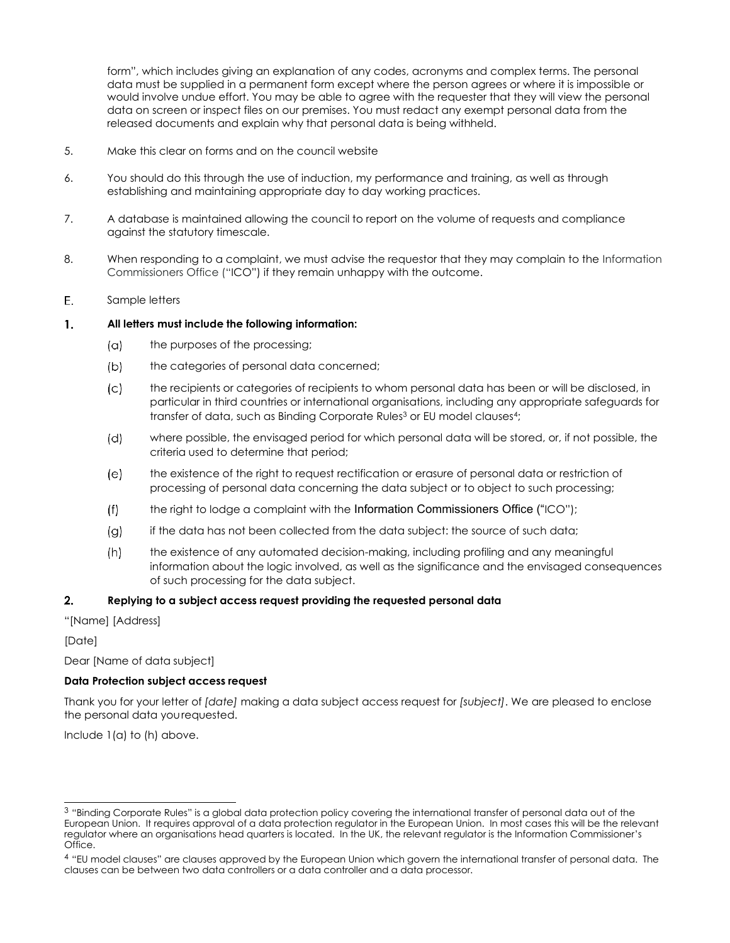form", which includes giving an explanation of any codes, acronyms and complex terms. The personal data must be supplied in a permanent form except where the person agrees or where it is impossible or would involve undue effort. You may be able to agree with the requester that they will view the personal data on screen or inspect files on our premises. You must redact any exempt personal data from the released documents and explain why that personal data is being withheld.

- 5. Make this clear on forms and on the council website
- 6. You should do this through the use of induction, my performance and training, as well as through establishing and maintaining appropriate day to day working practices.
- 7. A database is maintained allowing the council to report on the volume of requests and compliance against the statutory timescale.
- 8. When responding to a complaint, we must advise the requestor that they may complain to the Information Commissioners Office ("ICO") if they remain unhappy with the outcome.
- Ε. Sample letters

#### $\mathbf{1}$ . **All letters must include the following information:**

- $(a)$ the purposes of the processing;
- $(b)$ the categories of personal data concerned;
- $(c)$ the recipients or categories of recipients to whom personal data has been or will be disclosed, in particular in third countries or international organisations, including any appropriate safeguards for transfer of data, such as Binding Corporate Rules<sup>3</sup> or EU model clauses<sup>4</sup>;
- $(d)$ where possible, the envisaged period for which personal data will be stored, or, if not possible, the criteria used to determine that period;
- the existence of the right to request rectification or erasure of personal data or restriction of  $(e)$ processing of personal data concerning the data subject or to object to such processing;
- $(f)$ the right to lodge a complaint with the Information Commissioners Office ("ICO");
- $(q)$ if the data has not been collected from the data subject: the source of such data;
- $(h)$ the existence of any automated decision-making, including profiling and any meaningful information about the logic involved, as well as the significance and the envisaged consequences of such processing for the data subject.

#### $2.$ **Replying to a subject access request providing the requested personal data**

"[Name] [Address]

[Date]

Dear [Name of data subject]

# **Data Protection subject access request**

Thank you for your letter of *[date]* making a data subject access request for *[subject]*. We are pleased to enclose the personal data yourequested.

Include 1(a) to (h) above.

<sup>3</sup> "Binding Corporate Rules" is a global data protection policy covering the international transfer of personal data out of the European Union. It requires approval of a data protection regulator in the European Union. In most cases this will be the relevant regulator where an organisations head quarters is located. In the UK, the relevant regulator is the Information Commissioner's Office.

<sup>4</sup> "EU model clauses" are clauses approved by the European Union which govern the international transfer of personal data. The clauses can be between two data controllers or a data controller and a data processor.